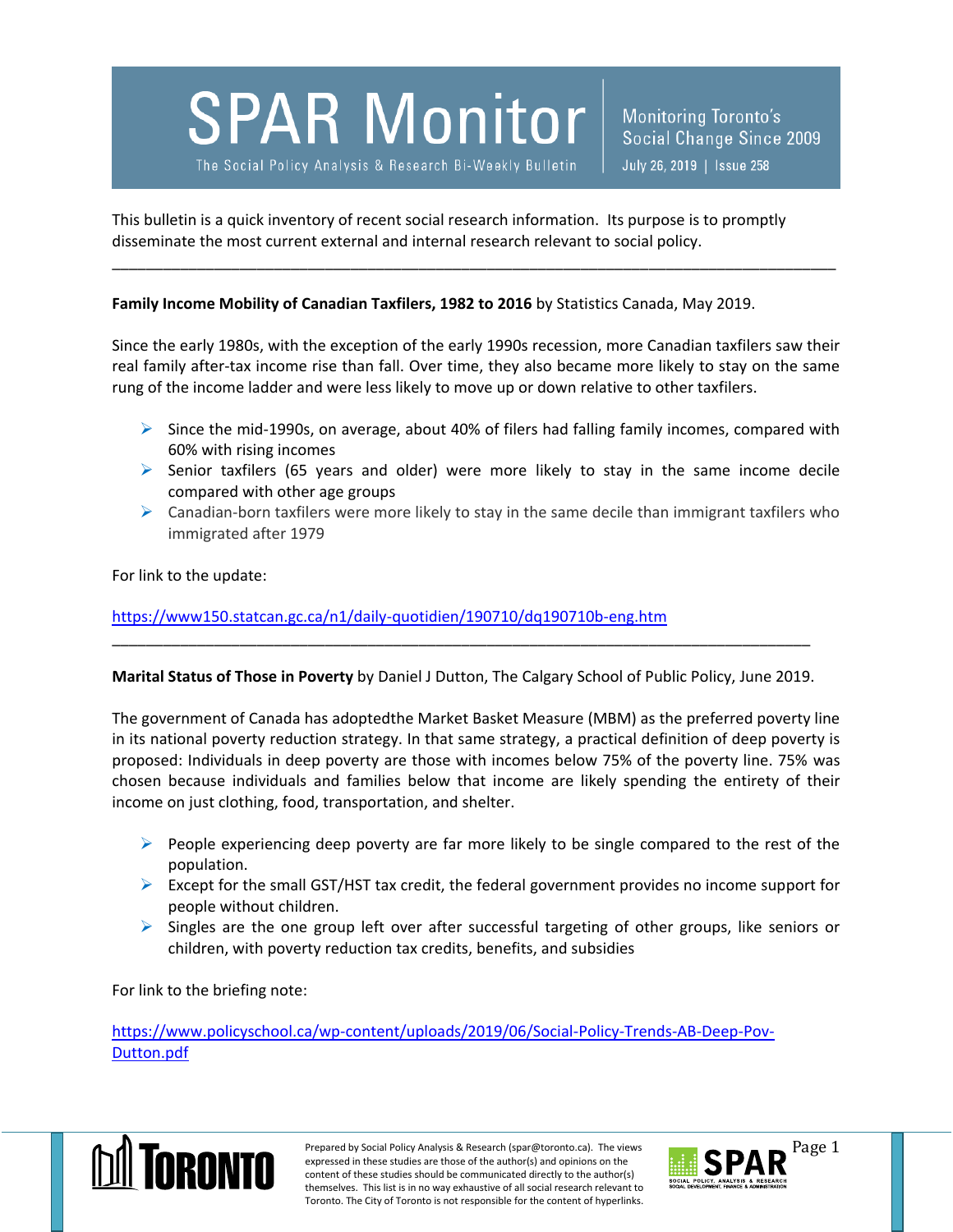**SPAR Monitor** 

The Social Policy Analysis & Research Bi-Weekly Bulletin

This bulletin is a quick inventory of recent social research information. Its purpose is to promptly disseminate the most current external and internal research relevant to social policy.

## **Family Income Mobility of Canadian Taxfilers, 1982 to 2016** by Statistics Canada, May 2019.

Since the early 1980s, with the exception of the early 1990s recession, more Canadian taxfilers saw their real family after-tax income rise than fall. Over time, they also became more likely to stay on the same rung of the income ladder and were less likely to move up or down relative to other taxfilers.

\_\_\_\_\_\_\_\_\_\_\_\_\_\_\_\_\_\_\_\_\_\_\_\_\_\_\_\_\_\_\_\_\_\_\_\_\_\_\_\_\_\_\_\_\_\_\_\_\_\_\_\_\_\_\_\_\_\_\_\_\_\_\_\_\_\_\_\_\_\_\_\_\_\_\_\_\_\_\_\_\_\_\_\_\_

- $\triangleright$  Since the mid-1990s, on average, about 40% of filers had falling family incomes, compared with 60% with rising incomes
- $\triangleright$  Senior taxfilers (65 years and older) were more likely to stay in the same income decile compared with other age groups
- $\triangleright$  Canadian-born taxfilers were more likely to stay in the same decile than immigrant taxfilers who immigrated after 1979

For link to the update:

<https://www150.statcan.gc.ca/n1/daily-quotidien/190710/dq190710b-eng.htm>

**Marital Status of Those in Poverty** by Daniel J Dutton, The Calgary School of Public Policy, June 2019.

\_\_\_\_\_\_\_\_\_\_\_\_\_\_\_\_\_\_\_\_\_\_\_\_\_\_\_\_\_\_\_\_\_\_\_\_\_\_\_\_\_\_\_\_\_\_\_\_\_\_\_\_\_\_\_\_\_\_\_\_\_\_\_\_\_\_\_\_\_\_\_\_\_\_\_\_\_\_\_\_\_\_

The government of Canada has adoptedthe Market Basket Measure (MBM) as the preferred poverty line in its national poverty reduction strategy. In that same strategy, a practical definition of deep poverty is proposed: Individuals in deep poverty are those with incomes below 75% of the poverty line. 75% was chosen because individuals and families below that income are likely spending the entirety of their income on just clothing, food, transportation, and shelter.

- $\triangleright$  People experiencing deep poverty are far more likely to be single compared to the rest of the population.
- $\triangleright$  Except for the small GST/HST tax credit, the federal government provides no income support for people without children.
- $\triangleright$  Singles are the one group left over after successful targeting of other groups, like seniors or children, with poverty reduction tax credits, benefits, and subsidies

For link to the briefing note:

[https://www.policyschool.ca/wp-content/uploads/2019/06/Social-Policy-Trends-AB-Deep-Pov-](https://www.policyschool.ca/wp-content/uploads/2019/06/Social-Policy-Trends-AB-Deep-Pov-Dutton.pdf)[Dutton.pdf](https://www.policyschool.ca/wp-content/uploads/2019/06/Social-Policy-Trends-AB-Deep-Pov-Dutton.pdf)



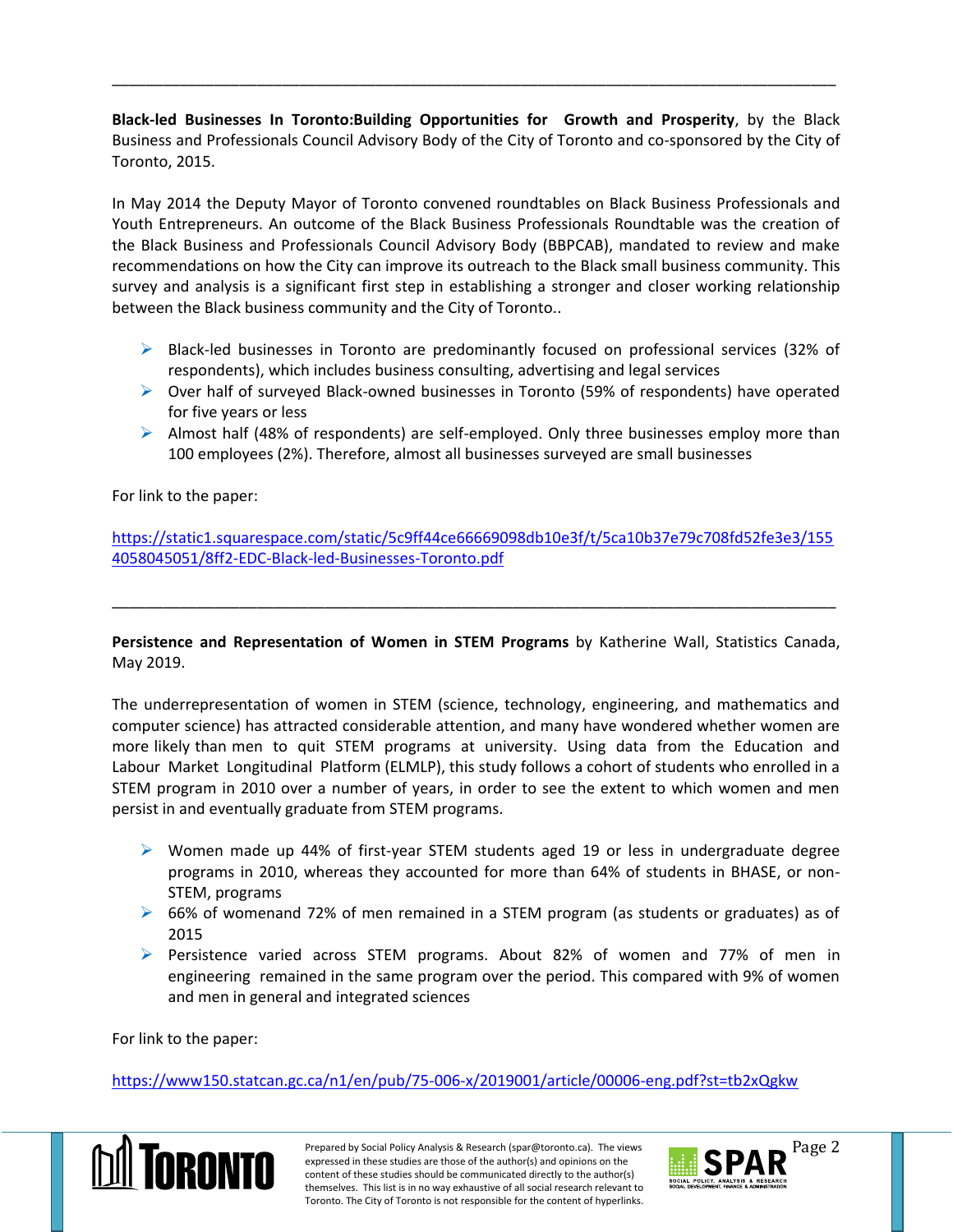**Black-led Businesses In Toronto:Building Opportunities for Growth and Prosperity**, by the Black Business and Professionals Council Advisory Body of the City of Toronto and co-sponsored by the City of Toronto, 2015.

\_\_\_\_\_\_\_\_\_\_\_\_\_\_\_\_\_\_\_\_\_\_\_\_\_\_\_\_\_\_\_\_\_\_\_\_\_\_\_\_\_\_\_\_\_\_\_\_\_\_\_\_\_\_\_\_\_\_\_\_\_\_\_\_\_\_\_\_\_\_\_\_\_\_\_\_\_\_\_\_\_\_\_\_\_

In May 2014 the Deputy Mayor of Toronto convened roundtables on Black Business Professionals and Youth Entrepreneurs. An outcome of the Black Business Professionals Roundtable was the creation of the Black Business and Professionals Council Advisory Body (BBPCAB), mandated to review and make recommendations on how the City can improve its outreach to the Black small business community. This survey and analysis is a significant first step in establishing a stronger and closer working relationship between the Black business community and the City of Toronto..

- $\triangleright$  Black-led businesses in Toronto are predominantly focused on professional services (32% of respondents), which includes business consulting, advertising and legal services
- Over half of surveyed Black-owned businesses in Toronto (59% of respondents) have operated for five years or less
- $\triangleright$  Almost half (48% of respondents) are self-employed. Only three businesses employ more than 100 employees (2%). Therefore, almost all businesses surveyed are small businesses

For link to the paper:

[https://static1.squarespace.com/static/5c9ff44ce66669098db10e3f/t/5ca10b37e79c708fd52fe3e3/155](https://static1.squarespace.com/static/5c9ff44ce66669098db10e3f/t/5ca10b37e79c708fd52fe3e3/1554058045051/8ff2-EDC-Black-led-Businesses-Toronto.pdf) [4058045051/8ff2-EDC-Black-led-Businesses-Toronto.pdf](https://static1.squarespace.com/static/5c9ff44ce66669098db10e3f/t/5ca10b37e79c708fd52fe3e3/1554058045051/8ff2-EDC-Black-led-Businesses-Toronto.pdf)

\_\_\_\_\_\_\_\_\_\_\_\_\_\_\_\_\_\_\_\_\_\_\_\_\_\_\_\_\_\_\_\_\_\_\_\_\_\_\_\_\_\_\_\_\_\_\_\_\_\_\_\_\_\_\_\_\_\_\_\_\_\_\_\_\_\_\_\_\_\_\_\_\_\_\_\_\_\_\_\_\_\_\_\_\_

**Persistence and Representation of Women in STEM Programs** by Katherine Wall, Statistics Canada, May 2019.

The underrepresentation of women in STEM (science, technology, engineering, and mathematics and computer science) has attracted considerable attention, and many have wondered whether women are more likely than men to quit STEM programs at university. Using data from the Education and Labour Market Longitudinal Platform (ELMLP), this study follows a cohort of students who enrolled in a STEM program in 2010 over a number of years, in order to see the extent to which women and men persist in and eventually graduate from STEM programs.

- $\triangleright$  Women made up 44% of first-year STEM students aged 19 or less in undergraduate degree programs in 2010, whereas they accounted for more than 64% of students in BHASE, or non-STEM, programs
- ▶ 66% of womenand 72% of men remained in a STEM program (as students or graduates) as of 2015
- **Persistence varied across STEM programs. About 82% of women and 77% of men in** engineering remained in the same program over the period. This compared with 9% of women and men in general and integrated sciences

For link to the paper:

<https://www150.statcan.gc.ca/n1/en/pub/75-006-x/2019001/article/00006-eng.pdf?st=tb2xQgkw>